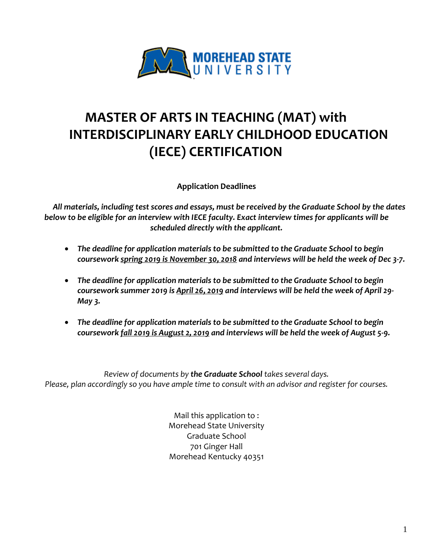

# **MASTER OF ARTS IN TEACHING (MAT) with INTERDISCIPLINARY EARLY CHILDHOOD EDUCATION (IECE) CERTIFICATION**

**Application Deadlines**

*All materials, including test scores and essays, must be received by the Graduate School by the dates below to be eligible for an interview with IECE faculty. Exact interview times for applicants will be scheduled directly with the applicant.*

- *The deadline for application materials to be submitted to the Graduate School to begin coursework spring 2019 is November 30, 2018 and interviews will be held the week of Dec 3-7.*
- *The deadline for application materials to be submitted to the Graduate School to begin coursework summer 2019 is April 26, 2019 and interviews will be held the week of April 29- May 3.*
- *The deadline for application materials to be submitted to the Graduate School to begin coursework fall 2019 is August 2, 2019 and interviews will be held the week of August 5-9.*

*Review of documents by the Graduate School takes several days. Please, plan accordingly so you have ample time to consult with an advisor and register for courses.*

> Mail this application to : Morehead State University Graduate School 701 Ginger Hall Morehead Kentucky 40351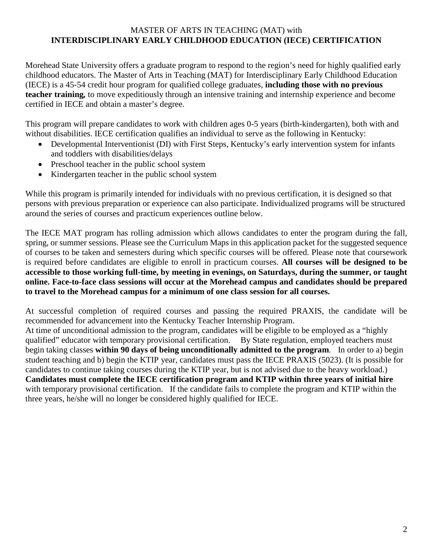# MASTER OF ARTS IN TEACHING (MAT) with **INTERDISCIPLINARY EARLY CHILDHOOD EDUCATION (IECE) CERTIFICATION**

Morehead State University offers a graduate program to respond to the region's need for highly qualified early childhood educators. The Master of Arts in Teaching (MAT) for Interdisciplinary Early Childhood Education (IECE) is a 45-54 credit hour program for qualified college graduates, **including those with no previous teacher training***,* to move expeditiously through an intensive training and internship experience and become certified in IECE and obtain a master's degree.

This program will prepare candidates to work with children ages 0-5 years (birth-kindergarten), both with and without disabilities. IECE certification qualifies an individual to serve as the following in Kentucky:

- Developmental Interventionist (DI) with First Steps, Kentucky's early intervention system for infants and toddlers with disabilities/delays
- Preschool teacher in the public school system
- Kindergarten teacher in the public school system

While this program is primarily intended for individuals with no previous certification, it is designed so that persons with previous preparation or experience can also participate. Individualized programs will be structured around the series of courses and practicum experiences outline below.

The IECE MAT program has rolling admission which allows candidates to enter the program during the fall, spring, or summer sessions. Please see the Curriculum Maps in this application packet for the suggested sequence of courses to be taken and semesters during which specific courses will be offered. Please note that coursework is required before candidates are eligible to enroll in practicum courses. **All courses will be designed to be accessible to those working full-time, by meeting in evenings, on Saturdays, during the summer, or taught online. Face-to-face class sessions will occur at the Morehead campus and candidates should be prepared to travel to the Morehead campus for a minimum of one class session for all courses.** 

At successful completion of required courses and passing the required PRAXIS, the candidate will be recommended for advancement into the Kentucky Teacher Internship Program.

At time of unconditional admission to the program, candidates will be eligible to be employed as a "highly qualified" educator with temporary provisional certification. By State regulation, employed teachers must begin taking classes **within 90 days of being unconditionally admitted to the program**. In order to a) begin student teaching and b) begin the KTIP year, candidates must pass the IECE PRAXIS (5023). (It is possible for candidates to continue taking courses during the KTIP year, but is not advised due to the heavy workload.) **Candidates must complete the IECE certification program and KTIP within three years of initial hire** with temporary provisional certification. If the candidate fails to complete the program and KTIP within the three years, he/she will no longer be considered highly qualified for IECE.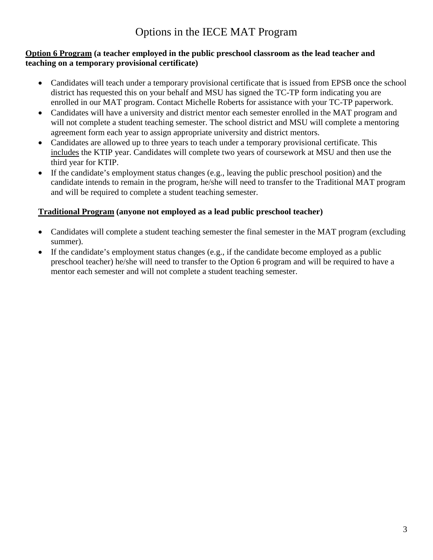# Options in the IECE MAT Program

### **Option 6 Program (a teacher employed in the public preschool classroom as the lead teacher and teaching on a temporary provisional certificate)**

- Candidates will teach under a temporary provisional certificate that is issued from EPSB once the school district has requested this on your behalf and MSU has signed the TC-TP form indicating you are enrolled in our MAT program. Contact Michelle Roberts for assistance with your TC-TP paperwork.
- Candidates will have a university and district mentor each semester enrolled in the MAT program and will not complete a student teaching semester. The school district and MSU will complete a mentoring agreement form each year to assign appropriate university and district mentors.
- Candidates are allowed up to three years to teach under a temporary provisional certificate. This includes the KTIP year. Candidates will complete two years of coursework at MSU and then use the third year for KTIP.
- If the candidate's employment status changes (e.g., leaving the public preschool position) and the candidate intends to remain in the program, he/she will need to transfer to the Traditional MAT program and will be required to complete a student teaching semester.

# **Traditional Program (anyone not employed as a lead public preschool teacher)**

- Candidates will complete a student teaching semester the final semester in the MAT program (excluding summer).
- If the candidate's employment status changes (e.g., if the candidate become employed as a public preschool teacher) he/she will need to transfer to the Option 6 program and will be required to have a mentor each semester and will not complete a student teaching semester.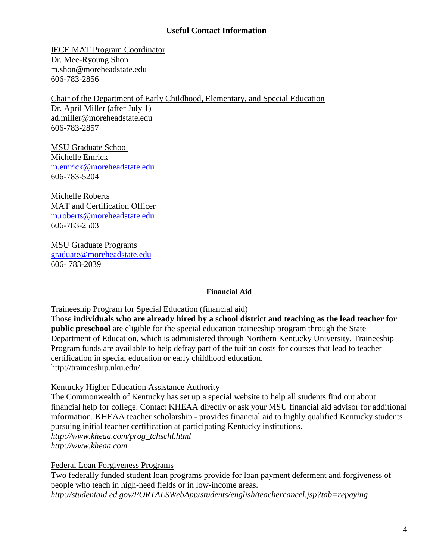# **Useful Contact Information**

IECE MAT Program Coordinator Dr. Mee-Ryoung Shon [m.shon@moreheadstate.edu](mailto:e.mclaren@moreheadstate.edu) 606-783-2856

Chair of the Department of Early Childhood, Elementary, and Special Education

Dr. April Miller (after July 1) ad.miller@moreheadstate.edu 606-783-2857

MSU Graduate School Michelle Emrick [m.emrick@moreheadstate.edu](mailto:m.emrick@moreheadstate.edu) 606-783-5204

Michelle Roberts MAT and Certification Officer [m.roberts@moreheadstate.edu](mailto:m.roberts@moreheadstate.edu) 606-783-2503

MSU Graduate Programs [graduate@moreheadstate.edu](mailto:graduate@moreheadstate.edu) 606- 783-2039

### **Financial Aid**

### Traineeship Program for Special Education (financial aid)

Those **individuals who are already hired by a school district and teaching as the lead teacher for public preschool** are eligible for the special education traineeship program through the State Department of Education, which is administered through Northern Kentucky University. Traineeship Program funds are available to help defray part of the tuition costs for courses that lead to teacher certification in special education or early childhood education. http://traineeship.nku.edu/

### Kentucky Higher Education Assistance Authority

The Commonwealth of Kentucky has set up a special website to help all students find out about financial help for college. Contact KHEAA directly or ask your MSU financial aid advisor for additional information. KHEAA teacher scholarship - provides financial aid to highly qualified Kentucky students pursuing initial teacher certification at participating Kentucky institutions. *[http://www.kheaa.com/prog\\_tchschl.html](http://www.kheaa.com/prog_tchschl.html)  http://www.kheaa.com*

Federal Loan Forgiveness Programs

Two federally funded student loan programs provide for loan payment deferment and forgiveness of people who teach in high-need fields or in low-income areas. *<http://studentaid.ed.gov/PORTALSWebApp/students/english/teachercancel.jsp?tab=repaying>*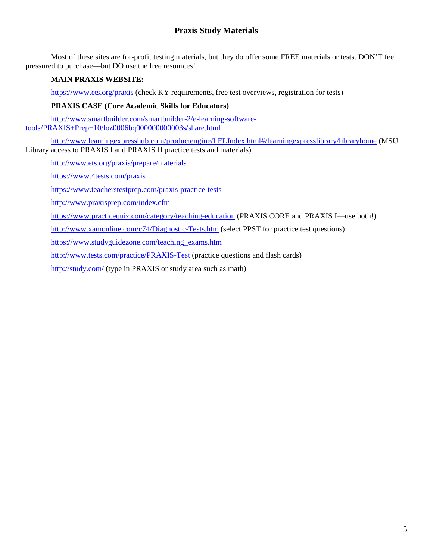# **Praxis Study Materials**

Most of these sites are for-profit testing materials, but they do offer some FREE materials or tests. DON'T feel pressured to purchase—but DO use the free resources!

### **MAIN PRAXIS WEBSITE:**

<https://www.ets.org/praxis> (check KY requirements, free test overviews, registration for tests)

#### **PRAXIS CASE (Core Academic Skills for Educators)**

[http://www.smartbuilder.com/smartbuilder-2/e-learning-software](http://www.smartbuilder.com/smartbuilder-2/e-learning-software-tools/PRAXIS+Prep+10/loz0006bq000000000003s/share.html)[tools/PRAXIS+Prep+10/loz0006bq000000000003s/share.html](http://www.smartbuilder.com/smartbuilder-2/e-learning-software-tools/PRAXIS+Prep+10/loz0006bq000000000003s/share.html)

<http://www.learningexpresshub.com/productengine/LELIndex.html#/learningexpresslibrary/libraryhome> (MSU Library access to PRAXIS I and PRAXIS II practice tests and materials)

<http://www.ets.org/praxis/prepare/materials>

<https://www.4tests.com/praxis>

<https://www.teacherstestprep.com/praxis-practice-tests>

<http://www.praxisprep.com/index.cfm>

<https://www.practicequiz.com/category/teaching-education> (PRAXIS CORE and PRAXIS I—use both!)

<http://www.xamonline.com/c74/Diagnostic-Tests.htm> (select PPST for practice test questions)

[https://www.studyguidezone.com/teaching\\_exams.htm](https://www.studyguidezone.com/teaching_exams.htm)

<http://www.tests.com/practice/PRAXIS-Test> (practice questions and flash cards)

<http://study.com/> (type in PRAXIS or study area such as math)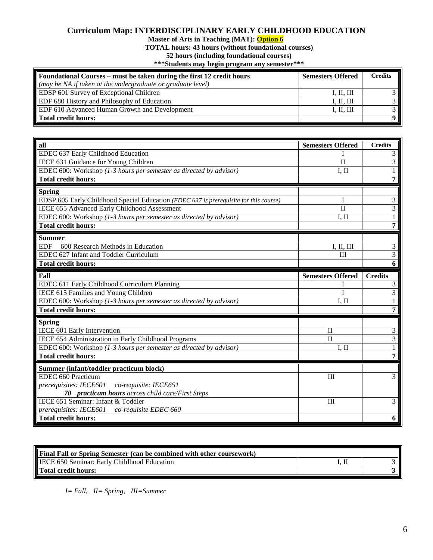### **Curriculum Map: INTERDISCIPLINARY EARLY CHILDHOOD EDUCATION**

**Master of Arts in Teaching (MAT): Option 6**

**TOTAL hours: 43 hours (without foundational courses)**

**52 hours (including foundational courses)**

**\*\*\*Students may begin program any semester\*\*\***

| Foundational Courses – must be taken during the first 12 credit hours | <b>Semesters Offered</b> | <b>Credits</b> |
|-----------------------------------------------------------------------|--------------------------|----------------|
| (may be NA if taken at the undergraduate or graduate level)           |                          |                |
| <b>EDSP</b> 601 Survey of Exceptional Children                        | I, II, III               |                |
| <b>EDF</b> 680 History and Philosophy of Education                    | I, II, III               |                |
| <b>EDF 610 Advanced Human Growth and Development</b>                  | I. II. III               |                |
| Total credit hours:                                                   |                          | 9 I            |

| all                                                                                   | <b>Semesters Offered</b> | <b>Credits</b> |
|---------------------------------------------------------------------------------------|--------------------------|----------------|
| EDEC 637 Early Childhood Education                                                    |                          | 3              |
| IECE 631 Guidance for Young Children                                                  | $\mathbf{I}$             | $\overline{3}$ |
| EDEC 600: Workshop (1-3 hours per semester as directed by advisor)                    | $I.$ II                  | 1              |
| <b>Total credit hours:</b>                                                            |                          | 7              |
| <b>Spring</b>                                                                         |                          |                |
| EDSP 605 Early Childhood Special Education (EDEC 637 is prerequisite for this course) |                          | 3              |
| IECE 655 Advanced Early Childhood Assessment                                          | $\mathbf{I}$             | $\overline{3}$ |
| EDEC 600: Workshop (1-3 hours per semester as directed by advisor)                    | I, II                    | $\mathbf{1}$   |
| <b>Total credit hours:</b>                                                            |                          | 7              |
| <b>Summer</b>                                                                         |                          |                |
| 600 Research Methods in Education<br><b>EDF</b>                                       | I, II, III               | 3              |
| EDEC 627 Infant and Toddler Curriculum                                                | Ш                        | 3              |
| <b>Total credit hours:</b>                                                            |                          | 6              |
| Fall                                                                                  | <b>Semesters Offered</b> | <b>Credits</b> |
| EDEC 611 Early Childhood Curriculum Planning                                          |                          | 3              |
| IECE 615 Families and Young Children                                                  |                          | $\overline{3}$ |
|                                                                                       | $I.$ II                  | 1              |
| EDEC 600: Workshop (1-3 hours per semester as directed by advisor)                    |                          |                |
| <b>Total credit hours:</b>                                                            |                          | 7              |
| <b>Spring</b>                                                                         |                          |                |
| IECE 601 Early Intervention                                                           | $\mathbf{I}$             | 3              |
| IECE 654 Administration in Early Childhood Programs                                   | $\mathbf{I}$             | 3              |
| EDEC 600: Workshop (1-3 hours per semester as directed by advisor)                    | $I.$ II                  | 1              |
| <b>Total credit hours:</b>                                                            |                          | 7              |
| Summer (infant/toddler practicum block)                                               |                          |                |
| EDEC 660 Practicum                                                                    | III                      | 3              |
| prerequisites: IECE601<br>co-requisite: IECE651                                       |                          |                |
| 70 practicum hours across child care/First Steps                                      |                          |                |
| IECE 651 Seminar: Infant & Toddler                                                    | III                      | 3              |
| prerequisites: IECE601 co-requisite EDEC 660<br><b>Total credit hours:</b>            |                          |                |

| <b>Final Fall or Spring Semester (can be combined with other coursework)</b> |  |
|------------------------------------------------------------------------------|--|
| <b>IECE 650 Seminar: Early Childhood Education</b>                           |  |
| Total credit hours:                                                          |  |

 *I= Fall, II= Spring, III=Summer*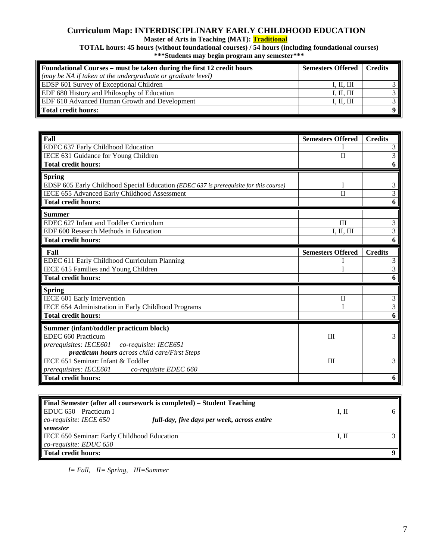### **Curriculum Map: INTERDISCIPLINARY EARLY CHILDHOOD EDUCATION**

**Master of Arts in Teaching (MAT): Traditional**

**TOTAL hours: 45 hours (without foundational courses) / 54 hours (including foundational courses) \*\*\*Students may begin program any semester\*\*\***

| Foundational Courses – must be taken during the first 12 credit hours | <b>Semesters Offered</b>   Credits |  |
|-----------------------------------------------------------------------|------------------------------------|--|
| $\vert$ (may be NA if taken at the undergraduate or graduate level)   |                                    |  |
| <b>EDSP</b> 601 Survey of Exceptional Children                        | I, II, III                         |  |
| <b>EDF</b> 680 History and Philosophy of Education                    | І. ІІ. Ш                           |  |
| <b>EDF 610 Advanced Human Growth and Development</b>                  | I, II, III                         |  |
| Total credit hours:                                                   |                                    |  |

| Fall                                                                                  | <b>Semesters Offered</b> | <b>Credits</b> |
|---------------------------------------------------------------------------------------|--------------------------|----------------|
| EDEC 637 Early Childhood Education                                                    |                          | 3              |
| IECE 631 Guidance for Young Children                                                  | $\mathbf{I}$             | 3              |
| <b>Total credit hours:</b>                                                            |                          | 6              |
| <b>Spring</b>                                                                         |                          |                |
| EDSP 605 Early Childhood Special Education (EDEC 637 is prerequisite for this course) |                          | 3              |
| IECE 655 Advanced Early Childhood Assessment                                          | $\mathbf{I}$             | 3              |
| <b>Total credit hours:</b>                                                            |                          | 6              |
| <b>Summer</b>                                                                         |                          |                |
| EDEC 627 Infant and Toddler Curriculum                                                | III                      | 3              |
| EDF 600 Research Methods in Education                                                 | I, II, III               | $\overline{3}$ |
| <b>Total credit hours:</b>                                                            |                          | 6              |
| Fall                                                                                  | <b>Semesters Offered</b> | <b>Credits</b> |
| EDEC 611 Early Childhood Curriculum Planning                                          |                          | 3              |
| IECE 615 Families and Young Children                                                  |                          | 3              |
| <b>Total credit hours:</b>                                                            |                          | 6              |
| <b>Spring</b>                                                                         |                          |                |
| IECE 601 Early Intervention                                                           | $\mathbf{I}$             | 3              |
| IECE 654 Administration in Early Childhood Programs                                   |                          | 3              |
| <b>Total credit hours:</b>                                                            |                          | 6              |
| Summer (infant/toddler practicum block)                                               |                          |                |
| EDEC 660 Practicum                                                                    | III                      | 3              |
| <i>prerequisites: IECE601</i><br>co-requisite: IECE651                                |                          |                |
| practicum hours across child care/First Steps                                         |                          |                |
| IECE 651 Seminar: Infant & Toddler                                                    | III                      | 3              |
| <i>prerequisites: IECE601</i><br>co-requisite EDEC 660                                |                          |                |
| <b>Total credit hours:</b>                                                            |                          | 6              |

| <b>Final Semester (after all coursework is completed) – Student Teaching</b> |       |  |
|------------------------------------------------------------------------------|-------|--|
| EDUC 650 Practicum I                                                         | 1, П  |  |
| co-requisite: IECE 650<br>full-day, five days per week, across entire        |       |  |
| semester                                                                     |       |  |
| <b>IECE 650 Seminar: Early Childhood Education</b>                           | I. II |  |
| $co$ -requisite: EDUC 650                                                    |       |  |
| Total credit hours:                                                          |       |  |

 *I= Fall, II= Spring, III=Summer*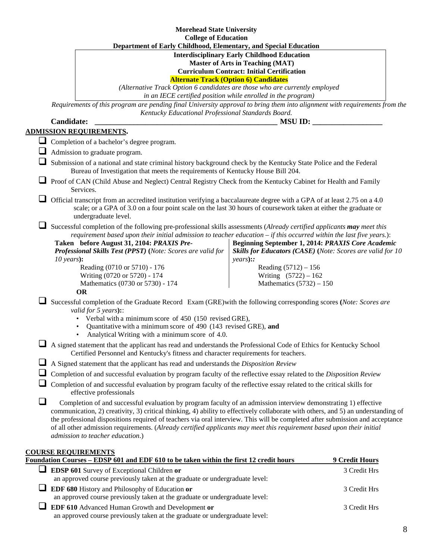|   | <b>Morehead State University</b>                                                                                                                                                                                                                                                                                                                                                                                                                                                                                                                   |                                                                                                                                                                                                    |                |
|---|----------------------------------------------------------------------------------------------------------------------------------------------------------------------------------------------------------------------------------------------------------------------------------------------------------------------------------------------------------------------------------------------------------------------------------------------------------------------------------------------------------------------------------------------------|----------------------------------------------------------------------------------------------------------------------------------------------------------------------------------------------------|----------------|
|   | <b>College of Education</b>                                                                                                                                                                                                                                                                                                                                                                                                                                                                                                                        |                                                                                                                                                                                                    |                |
|   | Department of Early Childhood, Elementary, and Special Education                                                                                                                                                                                                                                                                                                                                                                                                                                                                                   | <b>Interdisciplinary Early Childhood Education</b><br><b>Master of Arts in Teaching (MAT)</b><br><b>Curriculum Contract: Initial Certification</b><br><b>Alternate Track (Option 6) Candidates</b> |                |
|   | (Alternative Track Option 6 candidates are those who are currently employed                                                                                                                                                                                                                                                                                                                                                                                                                                                                        |                                                                                                                                                                                                    |                |
|   |                                                                                                                                                                                                                                                                                                                                                                                                                                                                                                                                                    | in an IECE certified position while enrolled in the program)                                                                                                                                       |                |
|   | Requirements of this program are pending final University approval to bring them into alignment with requirements from the<br>Kentucky Educational Professional Standards Board.                                                                                                                                                                                                                                                                                                                                                                   |                                                                                                                                                                                                    |                |
|   | <b>Candidate:</b>                                                                                                                                                                                                                                                                                                                                                                                                                                                                                                                                  | <b>MSU ID:</b>                                                                                                                                                                                     |                |
|   | ADMISSION REQUIREMENTS.                                                                                                                                                                                                                                                                                                                                                                                                                                                                                                                            |                                                                                                                                                                                                    |                |
|   | Completion of a bachelor's degree program.                                                                                                                                                                                                                                                                                                                                                                                                                                                                                                         |                                                                                                                                                                                                    |                |
|   | Admission to graduate program.                                                                                                                                                                                                                                                                                                                                                                                                                                                                                                                     |                                                                                                                                                                                                    |                |
|   | Submission of a national and state criminal history background check by the Kentucky State Police and the Federal<br>Bureau of Investigation that meets the requirements of Kentucky House Bill 204.                                                                                                                                                                                                                                                                                                                                               |                                                                                                                                                                                                    |                |
|   | Proof of CAN (Child Abuse and Neglect) Central Registry Check from the Kentucky Cabinet for Health and Family<br>Services.                                                                                                                                                                                                                                                                                                                                                                                                                         |                                                                                                                                                                                                    |                |
|   | Official transcript from an accredited institution verifying a baccalaureate degree with a GPA of at least 2.75 on a 4.0<br>scale; or a GPA of 3.0 on a four point scale on the last 30 hours of coursework taken at either the graduate or<br>undergraduate level.                                                                                                                                                                                                                                                                                |                                                                                                                                                                                                    |                |
|   | Successful completion of the following pre-professional skills assessments (Already certified applicants may meet this<br>requirement based upon their initial admission to teacher education - if this occurred within the last five years.):<br>Taken before August 31, 2104: PRAXIS Pre-<br><b>Professional Skills Test (PPST)</b> (Note: Scores are valid for<br>$10 \text{ years}$ :                                                                                                                                                          | Beginning September 1, 2014: PRAXIS Core Academic<br>Skills for Educators (CASE) (Note: Scores are valid for 10<br>years)::                                                                        |                |
|   | Reading (0710 or 5710) - 176<br>Writing (0720 or 5720) - 174<br>Mathematics (0730 or 5730) - 174<br><b>OR</b>                                                                                                                                                                                                                                                                                                                                                                                                                                      | Reading $(5712) - 156$<br>Writing $(5722) - 162$<br>Mathematics $(5732) - 150$                                                                                                                     |                |
|   | Successful completion of the Graduate Record Exam (GRE) with the following corresponding scores (Note: Scores are<br>valid for 5 years):<br>Verbal with a minimum score of 450 (150 revised GRE),<br>Quantitative with a minimum score of 490 (143 revised GRE), and<br>Analytical Writing with a minimum score of 4.0.                                                                                                                                                                                                                            |                                                                                                                                                                                                    |                |
|   | A signed statement that the applicant has read and understands the Professional Code of Ethics for Kentucky School<br>Certified Personnel and Kentucky's fitness and character requirements for teachers.                                                                                                                                                                                                                                                                                                                                          |                                                                                                                                                                                                    |                |
|   | A Signed statement that the applicant has read and understands the Disposition Review                                                                                                                                                                                                                                                                                                                                                                                                                                                              |                                                                                                                                                                                                    |                |
|   | Completion of and successful evaluation by program faculty of the reflective essay related to the Disposition Review                                                                                                                                                                                                                                                                                                                                                                                                                               |                                                                                                                                                                                                    |                |
|   | Completion of and successful evaluation by program faculty of the reflective essay related to the critical skills for<br>effective professionals                                                                                                                                                                                                                                                                                                                                                                                                   |                                                                                                                                                                                                    |                |
| ⊔ | Completion of and successful evaluation by program faculty of an admission interview demonstrating 1) effective<br>communication, 2) creativity, 3) critical thinking, 4) ability to effectively collaborate with others, and 5) an understanding of<br>the professional dispositions required of teachers via oral interview. This will be completed after submission and acceptance<br>of all other admission requirements. (Already certified applicants may meet this requirement based upon their initial<br>admission to teacher education.) |                                                                                                                                                                                                    |                |
|   | <b>COURSE REQUIREMENTS</b><br>Foundation Courses - EDSP 601 and EDF 610 to be taken within the first 12 credit hours                                                                                                                                                                                                                                                                                                                                                                                                                               |                                                                                                                                                                                                    | 9 Credit Hours |
|   | EDSP 601 Survey of Exceptional Children or                                                                                                                                                                                                                                                                                                                                                                                                                                                                                                         |                                                                                                                                                                                                    | 3 Credit Hrs   |
|   | an approved course previously taken at the graduate or undergraduate level:                                                                                                                                                                                                                                                                                                                                                                                                                                                                        |                                                                                                                                                                                                    |                |
| ⊔ | EDF 680 History and Philosophy of Education or<br>an approved course previously taken at the graduate or undergraduate level:                                                                                                                                                                                                                                                                                                                                                                                                                      |                                                                                                                                                                                                    | 3 Credit Hrs   |
|   | EDF 610 Advanced Human Growth and Development or                                                                                                                                                                                                                                                                                                                                                                                                                                                                                                   |                                                                                                                                                                                                    | 3 Credit Hrs   |
|   |                                                                                                                                                                                                                                                                                                                                                                                                                                                                                                                                                    |                                                                                                                                                                                                    |                |

an approved course previously taken at the graduate or undergraduate level: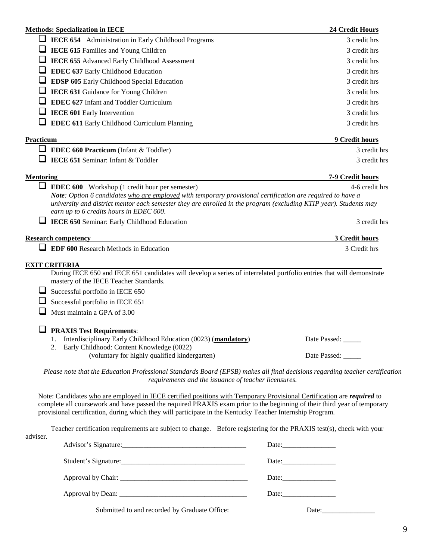|                      | <b>Methods: Specialization in IECE</b>                                                                                                                                                                                                                                                                                                                                 | 24 Credit Hours  |
|----------------------|------------------------------------------------------------------------------------------------------------------------------------------------------------------------------------------------------------------------------------------------------------------------------------------------------------------------------------------------------------------------|------------------|
|                      | <b>LECE 654</b> Administration in Early Childhood Programs                                                                                                                                                                                                                                                                                                             | 3 credit hrs     |
|                      | <b>IECE 615</b> Families and Young Children                                                                                                                                                                                                                                                                                                                            | 3 credit hrs     |
|                      | IECE 655 Advanced Early Childhood Assessment                                                                                                                                                                                                                                                                                                                           | 3 credit hrs     |
|                      | EDEC 637 Early Childhood Education                                                                                                                                                                                                                                                                                                                                     | 3 credit hrs     |
|                      | EDSP 605 Early Childhood Special Education                                                                                                                                                                                                                                                                                                                             | 3 credit hrs     |
|                      | IECE 631 Guidance for Young Children                                                                                                                                                                                                                                                                                                                                   | 3 credit hrs     |
|                      | <b>EDEC 627</b> Infant and Toddler Curriculum                                                                                                                                                                                                                                                                                                                          | 3 credit hrs     |
|                      | <b>IECE 601 Early Intervention</b>                                                                                                                                                                                                                                                                                                                                     | 3 credit hrs     |
|                      | <b>EDEC 611 Early Childhood Curriculum Planning</b>                                                                                                                                                                                                                                                                                                                    | 3 credit hrs     |
| Practicum            |                                                                                                                                                                                                                                                                                                                                                                        | 9 Credit hours   |
|                      | <b>EDEC 660 Practicum</b> (Infant & Toddler)                                                                                                                                                                                                                                                                                                                           | 3 credit hrs     |
|                      | IECE 651 Seminar: Infant & Toddler                                                                                                                                                                                                                                                                                                                                     | 3 credit hrs     |
|                      |                                                                                                                                                                                                                                                                                                                                                                        |                  |
| <b>Mentoring</b>     |                                                                                                                                                                                                                                                                                                                                                                        | 7-9 Credit hours |
|                      | <b>EDEC 600</b> Workshop (1 credit hour per semester)<br>Note: Option 6 candidates who are employed with temporary provisional certification are required to have a                                                                                                                                                                                                    | 4-6 credit hrs   |
|                      | university and district mentor each semester they are enrolled in the program (excluding KTIP year). Students may<br>earn up to 6 credits hours in EDEC 600.                                                                                                                                                                                                           |                  |
|                      | IECE 650 Seminar: Early Childhood Education                                                                                                                                                                                                                                                                                                                            | 3 credit hrs     |
|                      | <b>Research competency</b>                                                                                                                                                                                                                                                                                                                                             | 3 Credit hours   |
|                      | <b>EDF 600 Research Methods in Education</b>                                                                                                                                                                                                                                                                                                                           | 3 Credit hrs     |
| <b>EXIT CRITERIA</b> |                                                                                                                                                                                                                                                                                                                                                                        |                  |
|                      | During IECE 650 and IECE 651 candidates will develop a series of interrelated portfolio entries that will demonstrate<br>mastery of the IECE Teacher Standards.                                                                                                                                                                                                        |                  |
|                      | Successful portfolio in IECE 650                                                                                                                                                                                                                                                                                                                                       |                  |
|                      | Successful portfolio in IECE 651                                                                                                                                                                                                                                                                                                                                       |                  |
|                      | Must maintain a GPA of 3.00                                                                                                                                                                                                                                                                                                                                            |                  |
|                      | <b>PRAXIS Test Requirements:</b>                                                                                                                                                                                                                                                                                                                                       |                  |
|                      | Interdisciplinary Early Childhood Education (0023) (mandatory)                                                                                                                                                                                                                                                                                                         | Date Passed:     |
|                      | 2. Early Childhood: Content Knowledge (0022)<br>(voluntary for highly qualified kindergarten)                                                                                                                                                                                                                                                                          | Date Passed:     |
|                      |                                                                                                                                                                                                                                                                                                                                                                        |                  |
|                      | Please note that the Education Professional Standards Board (EPSB) makes all final decisions regarding teacher certification<br>requirements and the issuance of teacher licensures.                                                                                                                                                                                   |                  |
|                      | Note: Candidates who are employed in IECE certified positions with Temporary Provisional Certification are <i>required</i> to<br>complete all coursework and have passed the required PRAXIS exam prior to the beginning of their third year of temporary<br>provisional certification, during which they will participate in the Kentucky Teacher Internship Program. |                  |
|                      | Teacher certification requirements are subject to change. Before registering for the PRAXIS test(s), check with your                                                                                                                                                                                                                                                   |                  |
| adviser.             |                                                                                                                                                                                                                                                                                                                                                                        |                  |
|                      |                                                                                                                                                                                                                                                                                                                                                                        |                  |
|                      |                                                                                                                                                                                                                                                                                                                                                                        |                  |
|                      |                                                                                                                                                                                                                                                                                                                                                                        |                  |

Submitted to and recorded by Graduate Office: Date: Date: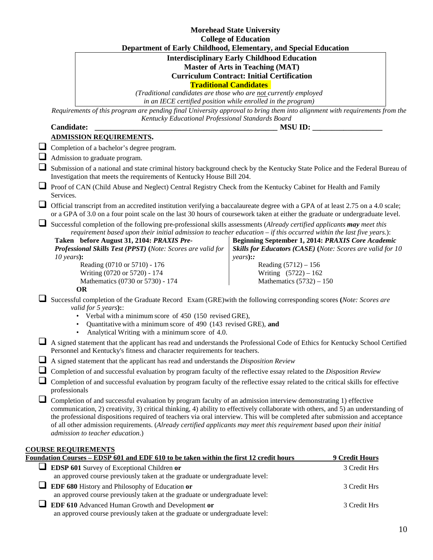|   |                                                                                                                                                                                                                                                                                                                                                                                                                                                                                                                                                    | <b>Morehead State University</b>                                 |                                                            |
|---|----------------------------------------------------------------------------------------------------------------------------------------------------------------------------------------------------------------------------------------------------------------------------------------------------------------------------------------------------------------------------------------------------------------------------------------------------------------------------------------------------------------------------------------------------|------------------------------------------------------------------|------------------------------------------------------------|
|   |                                                                                                                                                                                                                                                                                                                                                                                                                                                                                                                                                    | <b>College of Education</b>                                      |                                                            |
|   | Department of Early Childhood, Elementary, and Special Education                                                                                                                                                                                                                                                                                                                                                                                                                                                                                   |                                                                  |                                                            |
|   |                                                                                                                                                                                                                                                                                                                                                                                                                                                                                                                                                    | <b>Interdisciplinary Early Childhood Education</b>               |                                                            |
|   |                                                                                                                                                                                                                                                                                                                                                                                                                                                                                                                                                    | <b>Master of Arts in Teaching (MAT)</b>                          |                                                            |
|   |                                                                                                                                                                                                                                                                                                                                                                                                                                                                                                                                                    | <b>Curriculum Contract: Initial Certification</b>                |                                                            |
|   |                                                                                                                                                                                                                                                                                                                                                                                                                                                                                                                                                    | <b>Traditional Candidates</b>                                    |                                                            |
|   |                                                                                                                                                                                                                                                                                                                                                                                                                                                                                                                                                    | (Traditional candidates are those who are not currently employed |                                                            |
|   |                                                                                                                                                                                                                                                                                                                                                                                                                                                                                                                                                    | in an IECE certified position while enrolled in the program)     |                                                            |
|   | Requirements of this program are pending final University approval to bring them into alignment with requirements from the                                                                                                                                                                                                                                                                                                                                                                                                                         |                                                                  |                                                            |
|   | Kentucky Educational Professional Standards Board                                                                                                                                                                                                                                                                                                                                                                                                                                                                                                  |                                                                  |                                                            |
|   | <b>Candidate:</b>                                                                                                                                                                                                                                                                                                                                                                                                                                                                                                                                  | <b>MSU ID:</b>                                                   |                                                            |
|   | <b>ADMISSION REQUIREMENTS.</b>                                                                                                                                                                                                                                                                                                                                                                                                                                                                                                                     |                                                                  |                                                            |
|   |                                                                                                                                                                                                                                                                                                                                                                                                                                                                                                                                                    |                                                                  |                                                            |
|   | Completion of a bachelor's degree program.                                                                                                                                                                                                                                                                                                                                                                                                                                                                                                         |                                                                  |                                                            |
|   | Admission to graduate program.                                                                                                                                                                                                                                                                                                                                                                                                                                                                                                                     |                                                                  |                                                            |
|   | Submission of a national and state criminal history background check by the Kentucky State Police and the Federal Bureau of<br>Investigation that meets the requirements of Kentucky House Bill 204.                                                                                                                                                                                                                                                                                                                                               |                                                                  |                                                            |
|   | <b>I</b> Proof of CAN (Child Abuse and Neglect) Central Registry Check from the Kentucky Cabinet for Health and Family                                                                                                                                                                                                                                                                                                                                                                                                                             |                                                                  |                                                            |
|   | Services.                                                                                                                                                                                                                                                                                                                                                                                                                                                                                                                                          |                                                                  |                                                            |
|   | Official transcript from an accredited institution verifying a baccalaureate degree with a GPA of at least 2.75 on a 4.0 scale;<br>or a GPA of 3.0 on a four point scale on the last 30 hours of coursework taken at either the graduate or undergraduate level.                                                                                                                                                                                                                                                                                   |                                                                  |                                                            |
|   | Successful completion of the following pre-professional skills assessments (Already certified applicants may meet this<br>requirement based upon their initial admission to teacher education $-i$ f this occurred within the last five years.):<br>Taken before August 31, 2104: PRAXIS Pre-<br>Professional Skills Test (PPST) (Note: Scores are valid for                                                                                                                                                                                       | Beginning September 1, 2014: PRAXIS Core Academic                | Skills for Educators (CASE) (Note: Scores are valid for 10 |
|   | $10 \text{ years}$ :                                                                                                                                                                                                                                                                                                                                                                                                                                                                                                                               | $years)$ ::                                                      |                                                            |
|   | Reading (0710 or 5710) - 176                                                                                                                                                                                                                                                                                                                                                                                                                                                                                                                       | Reading $(5712) - 156$                                           |                                                            |
|   | Writing (0720 or 5720) - 174                                                                                                                                                                                                                                                                                                                                                                                                                                                                                                                       | Writing $(5722) - 162$                                           |                                                            |
|   | Mathematics (0730 or 5730) - 174<br><b>OR</b>                                                                                                                                                                                                                                                                                                                                                                                                                                                                                                      | Mathematics $(5732) - 150$                                       |                                                            |
|   | Successful completion of the Graduate Record Exam (GRE) with the following corresponding scores (Note: Scores are<br>valid for $5$ years)::<br>• Verbal with a minimum score of 450 (150 revised GRE),                                                                                                                                                                                                                                                                                                                                             |                                                                  |                                                            |
|   | Quantitative with a minimum score of 490 (143 revised GRE), and<br>Analytical Writing with a minimum score of 4.0.                                                                                                                                                                                                                                                                                                                                                                                                                                 |                                                                  |                                                            |
|   | A signed statement that the applicant has read and understands the Professional Code of Ethics for Kentucky School Certified<br>Personnel and Kentucky's fitness and character requirements for teachers.                                                                                                                                                                                                                                                                                                                                          |                                                                  |                                                            |
| ⊔ | A signed statement that the applicant has read and understands the Disposition Review                                                                                                                                                                                                                                                                                                                                                                                                                                                              |                                                                  |                                                            |
|   | Completion of and successful evaluation by program faculty of the reflective essay related to the Disposition Review                                                                                                                                                                                                                                                                                                                                                                                                                               |                                                                  |                                                            |
|   | Completion of and successful evaluation by program faculty of the reflective essay related to the critical skills for effective                                                                                                                                                                                                                                                                                                                                                                                                                    |                                                                  |                                                            |
|   | professionals                                                                                                                                                                                                                                                                                                                                                                                                                                                                                                                                      |                                                                  |                                                            |
| └ | Completion of and successful evaluation by program faculty of an admission interview demonstrating 1) effective<br>communication, 2) creativity, 3) critical thinking, 4) ability to effectively collaborate with others, and 5) an understanding of<br>the professional dispositions required of teachers via oral interview. This will be completed after submission and acceptance<br>of all other admission requirements. (Already certified applicants may meet this requirement based upon their initial<br>admission to teacher education.) |                                                                  |                                                            |
|   | <b>COURSE REQUIREMENTS</b>                                                                                                                                                                                                                                                                                                                                                                                                                                                                                                                         |                                                                  |                                                            |
|   | Foundation Courses – EDSP 601 and EDF 610 to be taken within the first 12 credit hours                                                                                                                                                                                                                                                                                                                                                                                                                                                             |                                                                  | 9 Credit Hours                                             |
| ப | <b>EDSP 601</b> Survey of Exceptional Children or<br>an approved course previously taken at the graduate or undergraduate level:                                                                                                                                                                                                                                                                                                                                                                                                                   |                                                                  | 3 Credit Hrs                                               |
| ⊔ | <b>EDF 680</b> History and Philosophy of Education or                                                                                                                                                                                                                                                                                                                                                                                                                                                                                              |                                                                  | 3 Credit Hrs                                               |
|   | an approved course previously taken at the graduate or undergraduate level:                                                                                                                                                                                                                                                                                                                                                                                                                                                                        |                                                                  |                                                            |
| ப | EDF 610 Advanced Human Growth and Development or                                                                                                                                                                                                                                                                                                                                                                                                                                                                                                   |                                                                  | 3 Credit Hrs                                               |
|   | an approved course previously taken at the graduate or undergraduate level:                                                                                                                                                                                                                                                                                                                                                                                                                                                                        |                                                                  |                                                            |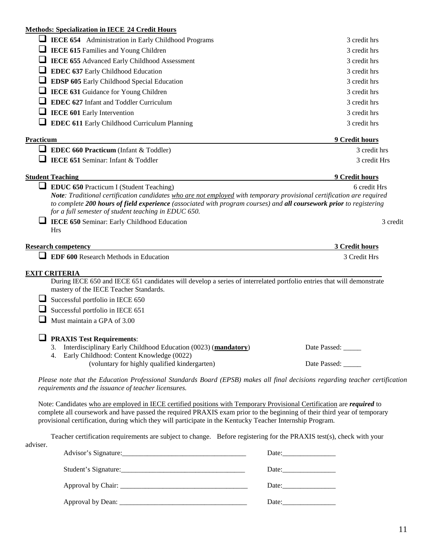### **Methods: Specialization in IECE 24 Credit Hours**

| <u> Methods: Specialization in TECE 24 Credit Hours</u>                                                                                                                                                                                                                         |                    |
|---------------------------------------------------------------------------------------------------------------------------------------------------------------------------------------------------------------------------------------------------------------------------------|--------------------|
| <b>LECE 654</b> Administration in Early Childhood Programs                                                                                                                                                                                                                      | 3 credit hrs       |
| $\Box$ IECE 615 Families and Young Children                                                                                                                                                                                                                                     | 3 credit hrs       |
| <b>IECE 655 Advanced Early Childhood Assessment</b>                                                                                                                                                                                                                             | 3 credit hrs       |
| $\Box$ EDEC 637 Early Childhood Education                                                                                                                                                                                                                                       | 3 credit hrs       |
| EDSP 605 Early Childhood Special Education                                                                                                                                                                                                                                      | 3 credit hrs       |
| IECE 631 Guidance for Young Children                                                                                                                                                                                                                                            | 3 credit hrs       |
| <b>EDEC 627</b> Infant and Toddler Curriculum                                                                                                                                                                                                                                   | 3 credit hrs       |
| <b>IECE 601 Early Intervention</b>                                                                                                                                                                                                                                              | 3 credit hrs       |
| <b>EDEC 611 Early Childhood Curriculum Planning</b>                                                                                                                                                                                                                             | 3 credit hrs       |
| Practicum                                                                                                                                                                                                                                                                       | 9 Credit hours     |
| <b>EDEC 660 Practicum</b> (Infant & Toddler)                                                                                                                                                                                                                                    | 3 credit hrs       |
| <b>IECE 651 Seminar: Infant &amp; Toddler</b>                                                                                                                                                                                                                                   | 3 credit Hrs       |
| <b>Student Teaching</b>                                                                                                                                                                                                                                                         | 9 Credit hours     |
| to complete 200 hours of field experience (associated with program courses) and all coursework prior to registering<br>for a full semester of student teaching in EDUC 650.<br><b>IECE 650 Seminar: Early Childhood Education</b><br><b>Hrs</b>                                 | 3 credit           |
| <b>Research competency</b>                                                                                                                                                                                                                                                      | 3 Credit hours     |
| <b>EDF 600 Research Methods in Education</b>                                                                                                                                                                                                                                    | 3 Credit Hrs       |
| <b>EXIT CRITERIA</b>                                                                                                                                                                                                                                                            |                    |
| During IECE 650 and IECE 651 candidates will develop a series of interrelated portfolio entries that will demonstrate                                                                                                                                                           |                    |
| mastery of the IECE Teacher Standards.                                                                                                                                                                                                                                          |                    |
| Successful portfolio in IECE 650                                                                                                                                                                                                                                                |                    |
| Successful portfolio in IECE 651                                                                                                                                                                                                                                                |                    |
| Must maintain a GPA of 3.00                                                                                                                                                                                                                                                     |                    |
| <b>PRAXIS Test Requirements:</b>                                                                                                                                                                                                                                                |                    |
| Interdisciplinary Early Childhood Education (0023) (mandatory)                                                                                                                                                                                                                  | Date Passed: _____ |
| Early Childhood: Content Knowledge (0022)<br>4.<br>(voluntary for highly qualified kindergarten)                                                                                                                                                                                | Date Passed:       |
| $\mathcal{A}$ and $\mathcal{B}$ is the state of $\mathcal{B}$ is the state of $\mathcal{B}$ is the state of $\mathcal{B}$ is the state of $\mathcal{B}$ is the state of $\mathcal{B}$ is the state of $\mathcal{B}$ is the state of $\mathcal{B}$ is the state of $\mathcal{B}$ |                    |

*Please note that the Education Professional Standards Board (EPSB) makes all final decisions regarding teacher certification requirements and the issuance of teacher licensures.* 

Note: Candidates who are employed in IECE certified positions with Temporary Provisional Certification are *required* to complete all coursework and have passed the required PRAXIS exam prior to the beginning of their third year of temporary provisional certification, during which they will participate in the Kentucky Teacher Internship Program.

Teacher certification requirements are subject to change. Before registering for the PRAXIS test(s), check with your adviser.

| Advisor's Signature: | Date: $\frac{1}{\sqrt{1-\frac{1}{2}} \cdot \frac{1}{\sqrt{1-\frac{1}{2}} \cdot \frac{1}{2}}}}$ |
|----------------------|------------------------------------------------------------------------------------------------|
|                      |                                                                                                |
|                      |                                                                                                |
|                      | Date: $\frac{1}{2}$                                                                            |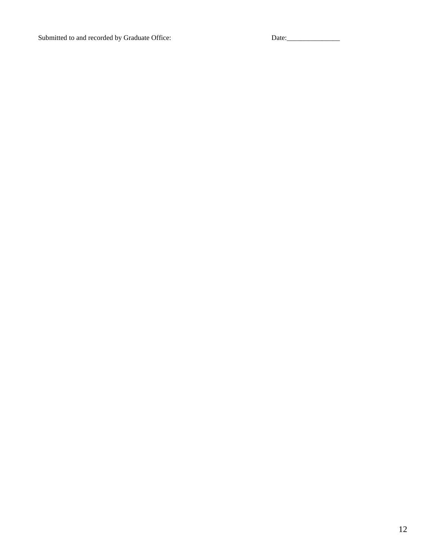Submitted to and recorded by Graduate Office: Date: Date: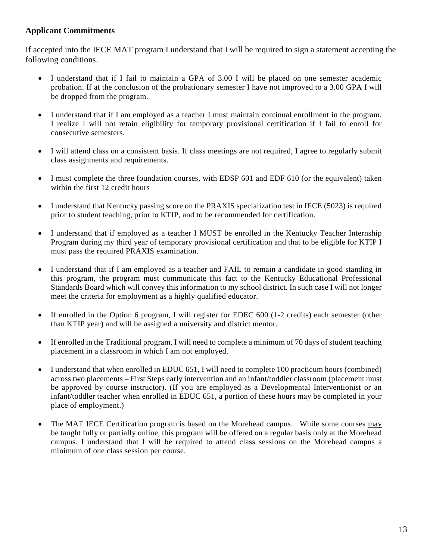# **Applicant Commitments**

If accepted into the IECE MAT program I understand that I will be required to sign a statement accepting the following conditions.

- I understand that if I fail to maintain a GPA of 3.00 I will be placed on one semester academic probation. If at the conclusion of the probationary semester I have not improved to a 3.00 GPA I will be dropped from the program.
- I understand that if I am employed as a teacher I must maintain continual enrollment in the program. I realize I will not retain eligibility for temporary provisional certification if I fail to enroll for consecutive semesters.
- I will attend class on a consistent basis. If class meetings are not required, I agree to regularly submit class assignments and requirements.
- I must complete the three foundation courses, with EDSP 601 and EDF 610 (or the equivalent) taken within the first 12 credit hours
- I understand that Kentucky passing score on the PRAXIS specialization test in IECE (5023) is required prior to student teaching, prior to KTIP, and to be recommended for certification.
- I understand that if employed as a teacher I MUST be enrolled in the Kentucky Teacher Internship Program during my third year of temporary provisional certification and that to be eligible for KTIP I must pass the required PRAXIS examination.
- I understand that if I am employed as a teacher and FAIL to remain a candidate in good standing in this program, the program must communicate this fact to the Kentucky Educational Professional Standards Board which will convey this information to my school district. In such case I will not longer meet the criteria for employment as a highly qualified educator.
- If enrolled in the Option 6 program, I will register for EDEC 600 (1-2 credits) each semester (other than KTIP year) and will be assigned a university and district mentor.
- If enrolled in the Traditional program, I will need to complete a minimum of 70 days of student teaching placement in a classroom in which I am not employed.
- I understand that when enrolled in EDUC 651, I will need to complete 100 practicum hours (combined) across two placements – First Steps early intervention and an infant/toddler classroom (placement must be approved by course instructor). (If you are employed as a Developmental Interventionist or an infant/toddler teacher when enrolled in EDUC 651, a portion of these hours may be completed in your place of employment.)
- The MAT IECE Certification program is based on the Morehead campus. While some courses may be taught fully or partially online, this program will be offered on a regular basis only at the Morehead campus. I understand that I will be required to attend class sessions on the Morehead campus a minimum of one class session per course.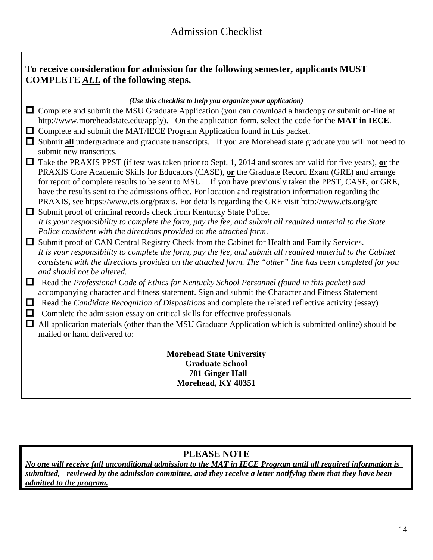|                       | To receive consideration for admission for the following semester, applicants MUST<br><b>COMPLETE ALL</b> of the following steps.                                                                                                                                                                                                                                                                                                                                                                                                                                                                                                                                                                                                                                                                                                                                                                                  |
|-----------------------|--------------------------------------------------------------------------------------------------------------------------------------------------------------------------------------------------------------------------------------------------------------------------------------------------------------------------------------------------------------------------------------------------------------------------------------------------------------------------------------------------------------------------------------------------------------------------------------------------------------------------------------------------------------------------------------------------------------------------------------------------------------------------------------------------------------------------------------------------------------------------------------------------------------------|
|                       | (Use this checklist to help you organize your application)<br>$\Box$ Complete and submit the MSU Graduate Application (you can download a hardcopy or submit on-line at<br>http://www.moreheadstate.edu/apply). On the application form, select the code for the <b>MAT</b> in IECE.<br>$\Box$ Complete and submit the MAT/IECE Program Application found in this packet.<br>□ Submit all undergraduate and graduate transcripts. If you are Morehead state graduate you will not need to<br>submit new transcripts.                                                                                                                                                                                                                                                                                                                                                                                               |
|                       | $\Box$ Take the PRAXIS PPST (if test was taken prior to Sept. 1, 2014 and scores are valid for five years), or the<br>PRAXIS Core Academic Skills for Educators (CASE), or the Graduate Record Exam (GRE) and arrange<br>for report of complete results to be sent to MSU. If you have previously taken the PPST, CASE, or GRE,<br>have the results sent to the admissions office. For location and registration information regarding the<br>PRAXIS, see https://www.ets.org/praxis. For details regarding the GRE visit http://www.ets.org/gre<br>$\Box$ Submit proof of criminal records check from Kentucky State Police.<br>It is your responsibility to complete the form, pay the fee, and submit all required material to the State<br>Police consistent with the directions provided on the attached form.<br>Submit proof of CAN Central Registry Check from the Cabinet for Health and Family Services. |
| $\Box$<br>$\Box$<br>□ | It is your responsibility to complete the form, pay the fee, and submit all required material to the Cabinet<br>consistent with the directions provided on the attached form. The "other" line has been completed for you<br>and should not be altered.<br>$\Box$ Read the Professional Code of Ethics for Kentucky School Personnel (found in this packet) and<br>accompanying character and fitness statement. Sign and submit the Character and Fitness Statement<br>Read the Candidate Recognition of Dispositions and complete the related reflective activity (essay)<br>Complete the admission essay on critical skills for effective professionals<br>All application materials (other than the MSU Graduate Application which is submitted online) should be<br>mailed or hand delivered to:                                                                                                              |
|                       | <b>Morehead State University</b><br><b>Graduate School</b><br>701 Ginger Hall<br>Morehead, KY 40351                                                                                                                                                                                                                                                                                                                                                                                                                                                                                                                                                                                                                                                                                                                                                                                                                |

# **PLEASE NOTE**

*No one will receive full unconditional admission to the MAT in IECE Program until all required information is submitted, reviewed by the admission committee, and they receive a letter notifying them that they have been admitted to the program.*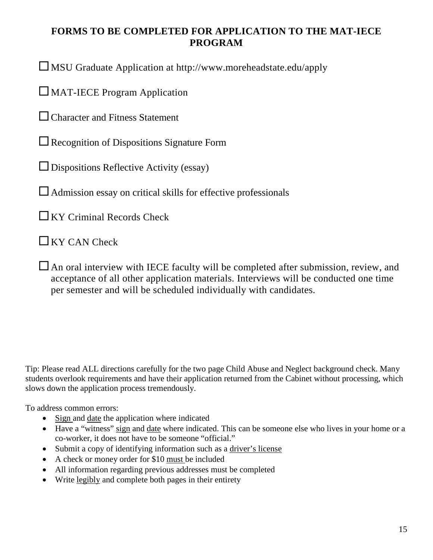# **FORMS TO BE COMPLETED FOR APPLICATION TO THE MAT-IECE PROGRAM**

MSU Graduate Application at<http://www.moreheadstate.edu/apply>

MAT-IECE Program Application

□ Character and Fitness Statement

 $\square$  Recognition of Dispositions Signature Form

 $\Box$  Dispositions Reflective Activity (essay)

 $\Box$  Admission essay on critical skills for effective professionals

 $\Box$  KY Criminal Records Check

 $\Box$  KY CAN Check

 $\Box$  An oral interview with IECE faculty will be completed after submission, review, and acceptance of all other application materials. Interviews will be conducted one time per semester and will be scheduled individually with candidates.

Tip: Please read ALL directions carefully for the two page Child Abuse and Neglect background check. Many students overlook requirements and have their application returned from the Cabinet without processing, which slows down the application process tremendously.

To address common errors:

- Sign and date the application where indicated
- Have a "witness" sign and date where indicated. This can be someone else who lives in your home or a co-worker, it does not have to be someone "official."
- Submit a copy of identifying information such as a driver's license
- A check or money order for \$10 must be included
- All information regarding previous addresses must be completed
- Write legibly and complete both pages in their entirety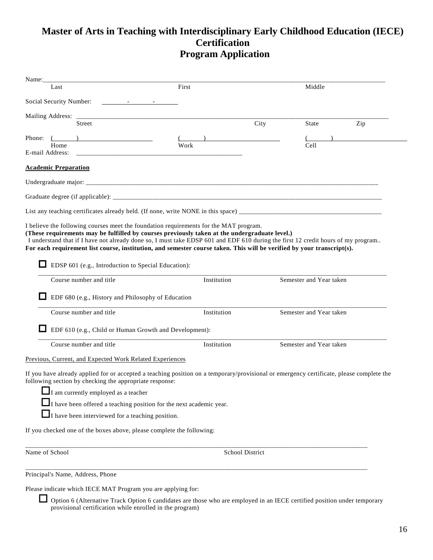# **Master of Arts in Teaching with Interdisciplinary Early Childhood Education (IECE) Certification Program Application**

| Name: $\frac{1}{2}$                                                                                                                                                                                                                                                                                               |                                                                            |                        |                         |     |
|-------------------------------------------------------------------------------------------------------------------------------------------------------------------------------------------------------------------------------------------------------------------------------------------------------------------|----------------------------------------------------------------------------|------------------------|-------------------------|-----|
| Last                                                                                                                                                                                                                                                                                                              | First                                                                      |                        | Middle                  |     |
|                                                                                                                                                                                                                                                                                                                   |                                                                            |                        |                         |     |
|                                                                                                                                                                                                                                                                                                                   |                                                                            |                        |                         |     |
| Street                                                                                                                                                                                                                                                                                                            |                                                                            | City                   | State                   | Zip |
| Phone: $($                                                                                                                                                                                                                                                                                                        |                                                                            |                        |                         |     |
| Home<br>E-mail Address: The Contract of the Contract of the Contract of the Contract of the Contract of the Contract of the Contract of the Contract of the Contract of the Contract of the Contract of the Contract of the Contract o                                                                            | Work                                                                       |                        | Cell                    |     |
| <b>Academic Preparation</b>                                                                                                                                                                                                                                                                                       |                                                                            |                        |                         |     |
|                                                                                                                                                                                                                                                                                                                   |                                                                            |                        |                         |     |
|                                                                                                                                                                                                                                                                                                                   |                                                                            |                        |                         |     |
|                                                                                                                                                                                                                                                                                                                   |                                                                            |                        |                         |     |
| I understand that if I have not already done so, I must take EDSP 601 and EDF 610 during the first 12 credit hours of my program<br>For each requirement list course, institution, and semester course taken. This will be verified by your transcript(s).<br>EDSP 601 (e.g., Introduction to Special Education): |                                                                            |                        |                         |     |
| Course number and title                                                                                                                                                                                                                                                                                           | Institution                                                                |                        | Semester and Year taken |     |
| EDF 680 (e.g., History and Philosophy of Education                                                                                                                                                                                                                                                                |                                                                            |                        |                         |     |
| Course number and title                                                                                                                                                                                                                                                                                           | Institution                                                                |                        | Semester and Year taken |     |
|                                                                                                                                                                                                                                                                                                                   | EDF 610 (e.g., Child or Human Growth and Development):                     |                        |                         |     |
| Course number and title                                                                                                                                                                                                                                                                                           | Institution                                                                |                        | Semester and Year taken |     |
| Previous, Current, and Expected Work Related Experiences                                                                                                                                                                                                                                                          |                                                                            |                        |                         |     |
| If you have already applied for or accepted a teaching position on a temporary/provisional or emergency certificate, please complete the<br>following section by checking the appropriate response:                                                                                                               |                                                                            |                        |                         |     |
| I am currently employed as a teacher                                                                                                                                                                                                                                                                              |                                                                            |                        |                         |     |
|                                                                                                                                                                                                                                                                                                                   | $\Box$ I have been offered a teaching position for the next academic year. |                        |                         |     |
| $\Box$ I have been interviewed for a teaching position.                                                                                                                                                                                                                                                           |                                                                            |                        |                         |     |
| If you checked one of the boxes above, please complete the following:                                                                                                                                                                                                                                             |                                                                            |                        |                         |     |
| Name of School                                                                                                                                                                                                                                                                                                    |                                                                            | <b>School District</b> |                         |     |
| Principal's Name, Address, Phone                                                                                                                                                                                                                                                                                  |                                                                            |                        |                         |     |
|                                                                                                                                                                                                                                                                                                                   |                                                                            |                        |                         |     |

Please indicate which IECE MAT Program you are applying for:

 Option 6 (Alternative Track Option 6 candidates are those who are employed in an IECE certified position under temporary provisional certification while enrolled in the program)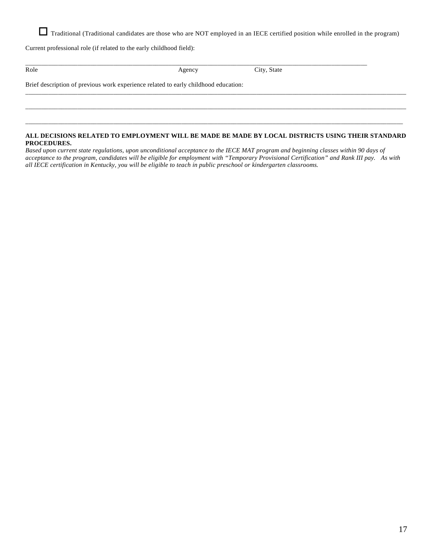Traditional (Traditional candidates are those who are NOT employed in an IECE certified position while enrolled in the program)

Current professional role (if related to the early childhood field):

| Role                                                                                | Agency | City, State |  |
|-------------------------------------------------------------------------------------|--------|-------------|--|
| Brief description of previous work experience related to early childhood education: |        |             |  |
|                                                                                     |        |             |  |
|                                                                                     |        |             |  |
|                                                                                     |        |             |  |

#### **ALL DECISIONS RELATED TO EMPLOYMENT WILL BE MADE BE MADE BY LOCAL DISTRICTS USING THEIR STANDARD PROCEDURES.**

\_\_\_\_\_\_\_\_\_\_\_\_\_\_\_\_\_\_\_\_\_\_\_\_\_\_\_\_\_\_\_\_\_\_\_\_\_\_\_\_\_\_\_\_\_\_\_\_\_\_\_\_\_\_\_\_\_\_\_\_\_\_\_\_\_\_\_\_\_\_\_\_\_\_\_\_\_\_\_\_\_\_\_\_\_\_\_\_\_\_\_\_\_\_\_\_\_\_\_\_\_\_\_\_\_\_\_\_\_\_\_\_\_\_\_\_

*Based upon current state regulations, upon unconditional acceptance to the IECE MAT program and beginning classes within 90 days of acceptance to the program, candidates will be eligible for employment with "Temporary Provisional Certification" and Rank III pay. As with all IECE certification in Kentucky, you will be eligible to teach in public preschool or kindergarten classrooms.*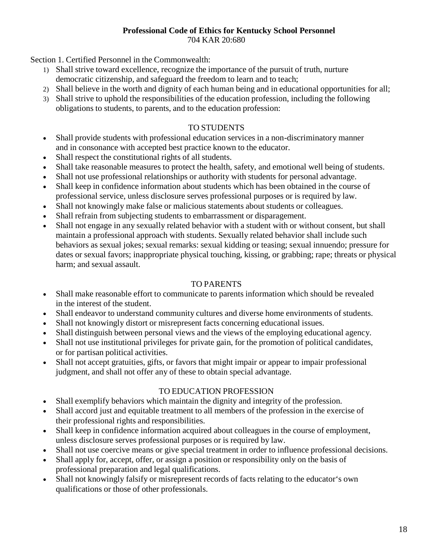#### **Professional Code of Ethics for Kentucky School Personnel** 704 KAR 20:680

Section 1. Certified Personnel in the Commonwealth:

- 1) Shall strive toward excellence, recognize the importance of the pursuit of truth, nurture democratic citizenship, and safeguard the freedom to learn and to teach;
- 2) Shall believe in the worth and dignity of each human being and in educational opportunities for all;
- 3) Shall strive to uphold the responsibilities of the education profession, including the following obligations to students, to parents, and to the education profession:

# TO STUDENTS

- Shall provide students with professional education services in a non-discriminatory manner and in consonance with accepted best practice known to the educator.
- Shall respect the constitutional rights of all students.
- Shall take reasonable measures to protect the health, safety, and emotional well being of students.
- Shall not use professional relationships or authority with students for personal advantage.
- Shall keep in confidence information about students which has been obtained in the course of professional service, unless disclosure serves professional purposes or is required by law.
- Shall not knowingly make false or malicious statements about students or colleagues.
- Shall refrain from subjecting students to embarrassment or disparagement.
- Shall not engage in any sexually related behavior with a student with or without consent, but shall maintain a professional approach with students. Sexually related behavior shall include such behaviors as sexual jokes; sexual remarks: sexual kidding or teasing; sexual innuendo; pressure for dates or sexual favors; inappropriate physical touching, kissing, or grabbing; rape; threats or physical harm; and sexual assault.

### TO PARENTS

- Shall make reasonable effort to communicate to parents information which should be revealed in the interest of the student.
- Shall endeavor to understand community cultures and diverse home environments of students.
- Shall not knowingly distort or misrepresent facts concerning educational issues.
- Shall distinguish between personal views and the views of the employing educational agency.
- Shall not use institutional privileges for private gain, for the promotion of political candidates, or for partisan political activities.
- Shall not accept gratuities, gifts, or favors that might impair or appear to impair professional judgment, and shall not offer any of these to obtain special advantage.

### TO EDUCATION PROFESSION

- Shall exemplify behaviors which maintain the dignity and integrity of the profession.
- Shall accord just and equitable treatment to all members of the profession in the exercise of their professional rights and responsibilities.
- Shall keep in confidence information acquired about colleagues in the course of employment, unless disclosure serves professional purposes or is required by law.
- Shall not use coercive means or give special treatment in order to influence professional decisions.
- Shall apply for, accept, offer, or assign a position or responsibility only on the basis of professional preparation and legal qualifications.
- Shall not knowingly falsify or misrepresent records of facts relating to the educator's own qualifications or those of other professionals.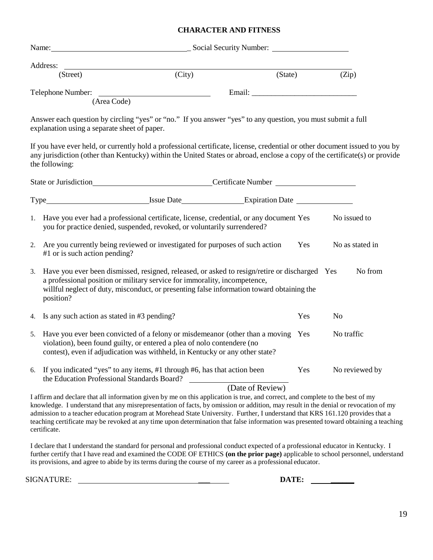#### **CHARACTER AND FITNESS**

|    |                                              | Name: Social Security Number:                                                                                                                                                                                                                                                                                                                                                                         |                  |     |                |                 |
|----|----------------------------------------------|-------------------------------------------------------------------------------------------------------------------------------------------------------------------------------------------------------------------------------------------------------------------------------------------------------------------------------------------------------------------------------------------------------|------------------|-----|----------------|-----------------|
|    | Address:                                     |                                                                                                                                                                                                                                                                                                                                                                                                       |                  |     |                |                 |
|    | (Street)                                     | $\overline{(City)}$                                                                                                                                                                                                                                                                                                                                                                                   | (State)          |     | (Zip)          |                 |
|    | (Area Code)                                  | Telephone Number:                                                                                                                                                                                                                                                                                                                                                                                     |                  |     |                |                 |
|    | explanation using a separate sheet of paper. | Answer each question by circling "yes" or "no." If you answer "yes" to any question, you must submit a full                                                                                                                                                                                                                                                                                           |                  |     |                |                 |
|    | the following:                               | If you have ever held, or currently hold a professional certificate, license, credential or other document issued to you by<br>any jurisdiction (other than Kentucky) within the United States or abroad, enclose a copy of the certificate(s) or provide                                                                                                                                             |                  |     |                |                 |
|    |                                              | State or Jurisdiction State or Jurisdiction State or Jurisdiction State or Summer State or Summer State or Summer State or Summer State or Summer State or Summer State or Summer State or Summer State or Summer State or Sum                                                                                                                                                                        |                  |     |                |                 |
|    |                                              |                                                                                                                                                                                                                                                                                                                                                                                                       |                  |     |                |                 |
|    |                                              | 1. Have you ever had a professional certificate, license, credential, or any document Yes<br>you for practice denied, suspended, revoked, or voluntarily surrendered?                                                                                                                                                                                                                                 |                  |     | No issued to   |                 |
| 2. | #1 or is such action pending?                | Are you currently being reviewed or investigated for purposes of such action                                                                                                                                                                                                                                                                                                                          |                  | Yes |                | No as stated in |
| 3. | position?                                    | Have you ever been dismissed, resigned, released, or asked to resign/retire or discharged Yes<br>a professional position or military service for immorality, incompetence,<br>willful neglect of duty, misconduct, or presenting false information toward obtaining the                                                                                                                               |                  |     |                | No from         |
| 4. | Is any such action as stated in #3 pending?  |                                                                                                                                                                                                                                                                                                                                                                                                       |                  | Yes | N <sub>o</sub> |                 |
| 5. |                                              | Have you ever been convicted of a felony or misdemeanor (other than a moving Yes<br>No traffic<br>violation), been found guilty, or entered a plea of nolo contendere (no<br>contest), even if adjudication was withheld, in Kentucky or any other state?                                                                                                                                             |                  |     |                |                 |
| 6. | the Education Professional Standards Board?  | If you indicated "yes" to any items, #1 through #6, has that action been                                                                                                                                                                                                                                                                                                                              |                  | Yes |                | No reviewed by  |
|    |                                              |                                                                                                                                                                                                                                                                                                                                                                                                       | (Date of Review) |     |                |                 |
|    |                                              | I affirm and declare that all information given by me on this application is true, and correct, and complete to the best of my<br>knowledge. I understand that any misrepresentation of facts, by omission or addition, may result in the denial or revocation of my<br>admission to a teacher education program at Morehead State University. Further, I understand that KRS 161.120 provides that a |                  |     |                |                 |

admission to a teacher education program at Morehead State University. Further, I understand that KRS 161.120 provides that a teaching certificate may be revoked at any time upon determination that false information was presented toward obtaining a teaching certificate.

I declare that I understand the standard for personal and professional conduct expected of a professional educator in Kentucky. I further certify that I have read and examined the CODE OF ETHICS **(on the prior page)** applicable to school personnel, understand its provisions, and agree to abide by its terms during the course of my career as a professional educator.

SIGNATURE: \_\_\_ **DATE: \_\_\_\_\_\_**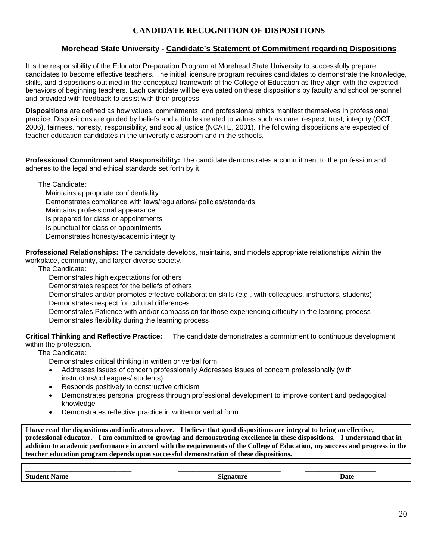# **CANDIDATE RECOGNITION OF DISPOSITIONS**

### **Morehead State University - Candidate's Statement of Commitment regarding Dispositions**

It is the responsibility of the Educator Preparation Program at Morehead State University to successfully prepare candidates to become effective teachers. The initial licensure program requires candidates to demonstrate the knowledge, skills, and dispositions outlined in the conceptual framework of the College of Education as they align with the expected behaviors of beginning teachers. Each candidate will be evaluated on these dispositions by faculty and school personnel and provided with feedback to assist with their progress.

**Dispositions** are defined as how values, commitments, and professional ethics manifest themselves in professional practice. Dispositions are guided by beliefs and attitudes related to values such as care, respect, trust, integrity (OCT, 2006), fairness, honesty, responsibility, and social justice (NCATE, 2001). The following dispositions are expected of teacher education candidates in the university classroom and in the schools.

**Professional Commitment and Responsibility:** The candidate demonstrates a commitment to the profession and adheres to the legal and ethical standards set forth by it.

The Candidate: Maintains appropriate confidentiality Demonstrates compliance with laws/regulations/ policies/standards Maintains professional appearance Is prepared for class or appointments Is punctual for class or appointments Demonstrates honesty/academic integrity

**Professional Relationships:** The candidate develops, maintains, and models appropriate relationships within the workplace, community, and larger diverse society.

The Candidate:

Demonstrates high expectations for others

Demonstrates respect for the beliefs of others

Demonstrates and/or promotes effective collaboration skills (e.g., with colleagues, instructors, students) Demonstrates respect for cultural differences

Demonstrates Patience with and/or compassion for those experiencing difficulty in the learning process Demonstrates flexibility during the learning process

**Critical Thinking and Reflective Practice:** The candidate demonstrates a commitment to continuous development within the profession.

The Candidate:

Demonstrates critical thinking in written or verbal form

- Addresses issues of concern professionally Addresses issues of concern professionally (with instructors/colleagues/ students)
- Responds positively to constructive criticism
- Demonstrates personal progress through professional development to improve content and pedagogical knowledge
- Demonstrates reflective practice in written or verbal form

**I have read the dispositions and indicators above. I believe that good dispositions are integral to being an effective, professional educator. I am committed to growing and demonstrating excellence in these dispositions. I understand that in addition to academic performance in accord with the requirements of the College of Education, my success and progress in the teacher education program depends upon successful demonstration of these dispositions.**

| _____                                                    | _________________ |      |
|----------------------------------------------------------|-------------------|------|
| $\sim$<br>and the contract of the contract of<br>$-$<br> | -                 | Jato |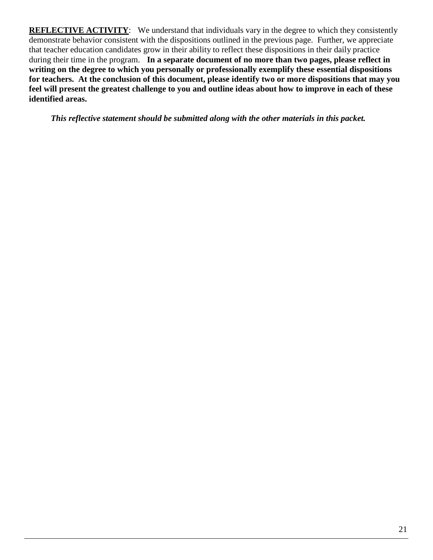**REFLECTIVE ACTIVITY:** We understand that individuals vary in the degree to which they consistently demonstrate behavior consistent with the dispositions outlined in the previous page. Further, we appreciate that teacher education candidates grow in their ability to reflect these dispositions in their daily practice during their time in the program. **In a separate document of no more than two pages, please reflect in writing on the degree to which you personally or professionally exemplify these essential dispositions for teachers. At the conclusion of this document, please identify two or more dispositions that may you feel will present the greatest challenge to you and outline ideas about how to improve in each of these identified areas.**

*This reflective statement should be submitted along with the other materials in this packet.*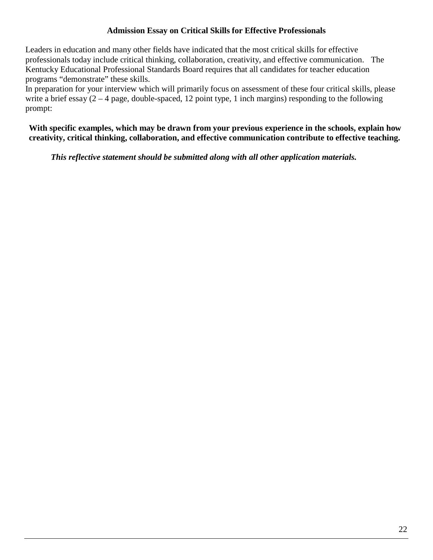# **Admission Essay on Critical Skills for Effective Professionals**

Leaders in education and many other fields have indicated that the most critical skills for effective professionals today include critical thinking, collaboration, creativity, and effective communication. The Kentucky Educational Professional Standards Board requires that all candidates for teacher education programs "demonstrate" these skills.

In preparation for your interview which will primarily focus on assessment of these four critical skills, please write a brief essay  $(2 - 4$  page, double-spaced, 12 point type, 1 inch margins) responding to the following prompt:

**With specific examples, which may be drawn from your previous experience in the schools, explain how creativity, critical thinking, collaboration, and effective communication contribute to effective teaching.**

*This reflective statement should be submitted along with all other application materials.*